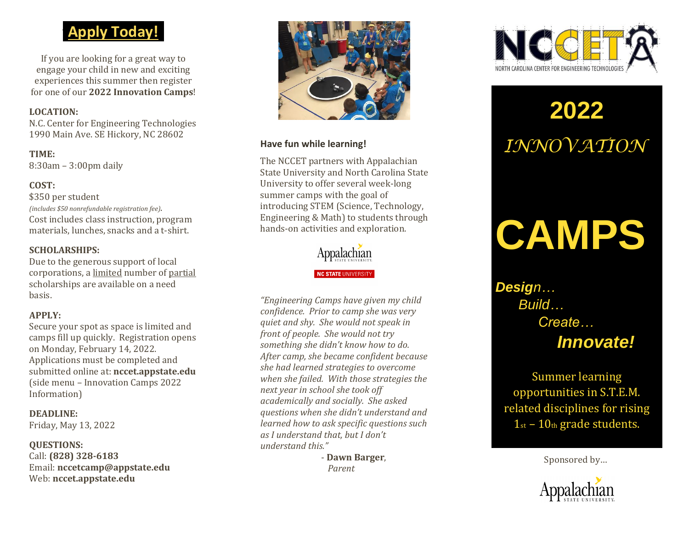# **fApply Today ! f**

If you are looking for a great way to engage your child in new and exciting experiences this summer then register for one of our **20 2 2 Innovation Camps** !

### **LOCATION:**

N.C. Center for Engineering Technologies 1990 Main Ave. SE Hickory, NC 28602

**TIME:** 8:30am – 3:00pm daily

### **COST:**

\$350 per student *(includes \$50 nonrefundable registration fee)*. Cost includes class instruction, program materials, lunches, snacks and a t -shirt.

### **SCHOLARSHIPS:**

Due to the generous support of local corporations, a limited number of partial scholarships are available on a need basis.

### **APPLY:**

Secure your spot as space is limited and camps fill up quickly. Registration opens on Monday, February 14, 2022. Applications must be completed and submitted online at: **nccet.appstate.edu** (side menu – Innovation Camps 202 2 Information)

**DEADLINE:** Friday, May 13, 2022

#### **QUESTIONS:**

Call: **(828) 328 -6183** Email: **nccetcamp@appstate.edu** Web: **nccet.appstate.edu**



### **Have fun while learning!**

The NCCET partners with Appalachian State University and North Carolina State University to offer several week -long summer camps with the goal of introducing STEM (Science, Technology, Engineering & Math) to students through hands -on activities and exploration.



*"Engineering Camps have given my child confidence. Prior to camp she was very quiet and shy. She would not speak in front of people. She would not try something she didn't know how to do. After camp, she became confident because she had learned strategies to overcome when she failed. With those strategies the next year in school she took off academically and socially. She asked questions when she didn't understand and learned how to ask specific questions such as I understand that, but I don't understand this."*

> - **Dawn Barge r** , *Parent*



# **20 2 2** *INNOVATION*

# **CAMPS**

*Design… Build … Create… Innovate!*

Summer learning opportunities in S.T.E.M. related disciplines for rising  $1<sub>st</sub> - 10<sub>th</sub>$  grade students.

Sponsored by…